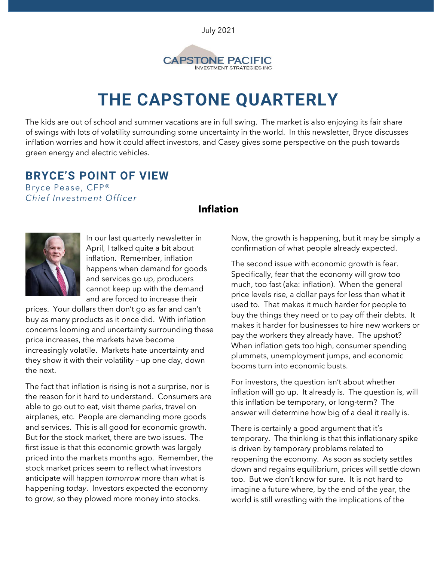July 2021



# **THE CAPSTONE QUARTERLY**

The kids are out of school and summer vacations are in full swing. The market is also enjoying its fair share of swings with lots of volatility surrounding some uncertainty in the world. In this newsletter, Bryce discusses inflation worries and how it could affect investors, and Casey gives some perspective on the push towards green energy and electric vehicles.

## **BRYCE'S POINT OF VIEW**

Bryce Pease, CFP® *Chief Investment Officer*

#### **Inflation**



In our last quarterly newsletter in April, I talked quite a bit about inflation. Remember, inflation happens when demand for goods and services go up, producers cannot keep up with the demand and are forced to increase their

prices. Your dollars then don't go as far and can't buy as many products as it once did. With inflation concerns looming and uncertainty surrounding these price increases, the markets have become increasingly volatile. Markets hate uncertainty and they show it with their volatility – up one day, down the next.

The fact that inflation is rising is not a surprise, nor is the reason for it hard to understand. Consumers are able to go out to eat, visit theme parks, travel on airplanes, etc. People are demanding more goods and services. This is all good for economic growth. But for the stock market, there are two issues. The first issue is that this economic growth was largely priced into the markets months ago. Remember, the stock market prices seem to reflect what investors anticipate will happen *tomorrow* more than what is happening *today*. Investors expected the economy to grow, so they plowed more money into stocks.

Now, the growth is happening, but it may be simply a confirmation of what people already expected.

The second issue with economic growth is fear. Specifically, fear that the economy will grow too much, too fast (aka: inflation). When the general price levels rise, a dollar pays for less than what it used to. That makes it much harder for people to buy the things they need or to pay off their debts. It makes it harder for businesses to hire new workers or pay the workers they already have. The upshot? When inflation gets too high, consumer spending plummets, unemployment jumps, and economic booms turn into economic busts.

For investors, the question isn't about whether inflation will go up. It already is. The question is, will this inflation be temporary, or long-term? The answer will determine how big of a deal it really is.

There is certainly a good argument that it's temporary. The thinking is that this inflationary spike is driven by temporary problems related to reopening the economy. As soon as society settles down and regains equilibrium, prices will settle down too. But we don't know for sure. It is not hard to imagine a future where, by the end of the year, the world is still wrestling with the implications of the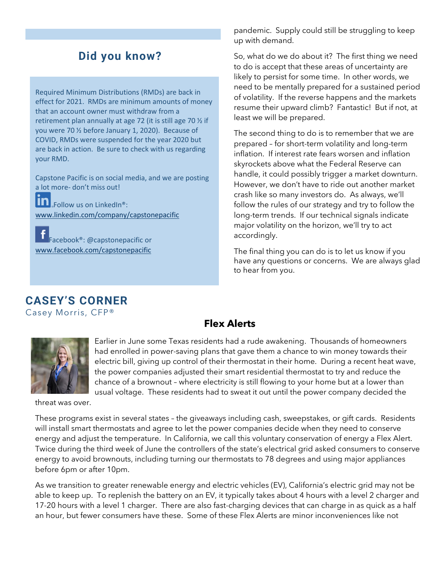# **Did you know?**

Required Minimum Distributions (RMDs) are back in effect for 2021. RMDs are minimum amounts of money that an account owner must withdraw from a retirement plan annually at age 72 (it is still age 70 ½ if you were 70 ½ before January 1, 2020). Because of COVID, RMDs were suspended for the year 2020 but are back in action. Be sure to check with us regarding your RMD.

Capstone Pacific is on social media, and we are posting a lot more- don't miss out!

in Follow us on LinkedIn<sup>®</sup>: [www.linkedin.com/company/capstonepacific](http://www.linkedin.com/company/capstonepacific)

Facebook®: @capstonepacific or [www.facebook.com/capstonepacific](http://www.facebook.com/capstonepacific)

pandemic. Supply could still be struggling to keep up with demand.

So, what do we do about it? The first thing we need to do is accept that these areas of uncertainty are likely to persist for some time. In other words, we need to be mentally prepared for a sustained period of volatility. If the reverse happens and the markets resume their upward climb? Fantastic! But if not, at least we will be prepared.

The second thing to do is to remember that we are prepared – for short-term volatility and long-term inflation. If interest rate fears worsen and inflation skyrockets above what the Federal Reserve can handle, it could possibly trigger a market downturn. However, we don't have to ride out another market crash like so many investors do. As always, we'll follow the rules of our strategy and try to follow the long-term trends. If our technical signals indicate major volatility on the horizon, we'll try to act accordingly.

The final thing you can do is to let us know if you have any questions or concerns. We are always glad to hear from you.

# **CASEY'S CORNER**

Casey Morris, CFP®

#### **Flex Alerts**



Earlier in June some Texas residents had a rude awakening. Thousands of homeowners had enrolled in power-saving plans that gave them a chance to win money towards their electric bill, giving up control of their thermostat in their home. During a recent heat wave, the power companies adjusted their smart residential thermostat to try and reduce the chance of a brownout – where electricity is still flowing to your home but at a lower than usual voltage. These residents had to sweat it out until the power company decided the

threat was over.

These programs exist in several states – the giveaways including cash, sweepstakes, or gift cards. Residents will install smart thermostats and agree to let the power companies decide when they need to conserve energy and adjust the temperature. In California, we call this voluntary conservation of energy a Flex Alert. Twice during the third week of June the controllers of the state's electrical grid asked consumers to conserve energy to avoid brownouts, including turning our thermostats to 78 degrees and using major appliances before 6pm or after 10pm.

As we transition to greater renewable energy and electric vehicles (EV), California's electric grid may not be able to keep up. To replenish the battery on an EV, it typically takes about 4 hours with a level 2 charger and 17-20 hours with a level 1 charger. There are also fast-charging devices that can charge in as quick as a half an hour, but fewer consumers have these. Some of these Flex Alerts are minor inconveniences like not